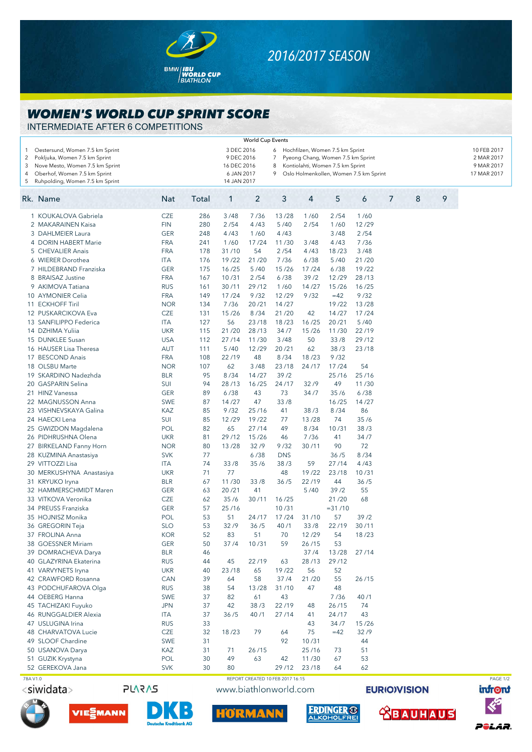

## *2016/2017 SEASON*

## *WOMEN'S WORLD CUP SPRINT SCORE*

INTERMEDIATE AFTER 6 COMPETITIONS

|                                   |                                 |                                                                   |       |             | <b>World Cup Events</b>          |                                             |       |                                   |       |   |            |   |   |             |
|-----------------------------------|---------------------------------|-------------------------------------------------------------------|-------|-------------|----------------------------------|---------------------------------------------|-------|-----------------------------------|-------|---|------------|---|---|-------------|
| 1                                 | Oestersund, Women 7.5 km Sprint |                                                                   |       | 3 DEC 2016  |                                  |                                             |       | 6 Hochfilzen, Women 7.5 km Sprint |       |   |            |   |   | 10 FEB 2017 |
| $\overline{2}$                    | Pokljuka, Women 7.5 km Sprint   | 9 DEC 2016<br>$\overline{7}$<br>Pyeong Chang, Women 7.5 km Sprint |       |             |                                  |                                             |       |                                   |       |   | 2 MAR 2017 |   |   |             |
| 3                                 | Nove Mesto, Women 7.5 km Sprint |                                                                   |       | 16 DEC 2016 |                                  | 8                                           |       | Kontiolahti, Women 7.5 km Sprint  |       |   |            |   |   | 9 MAR 2017  |
| Oberhof, Women 7.5 km Sprint<br>4 |                                 |                                                                   |       |             | 6 JAN 2017                       | 9<br>Oslo Holmenkollen, Women 7.5 km Sprint |       |                                   |       |   |            |   |   | 17 MAR 2017 |
| 5                                 | Ruhpolding, Women 7.5 km Sprint |                                                                   |       | 14 JAN 2017 |                                  |                                             |       |                                   |       |   |            |   |   |             |
|                                   |                                 |                                                                   |       |             |                                  |                                             |       |                                   |       |   |            |   | 9 |             |
|                                   | Rk. Name                        | <b>Nat</b>                                                        | Total | 1           | 2                                | 3                                           | 4     | 5                                 | 6     | 7 |            | 8 |   |             |
|                                   | 1 KOUKALOVA Gabriela            | CZE                                                               | 286   | 3/48        | 7/36                             | 13/28                                       | 1/60  | 2/54                              | 1/60  |   |            |   |   |             |
|                                   | 2 MAKARAINEN Kaisa              | <b>FIN</b>                                                        | 280   | 2/54        | 4/43                             | 5/40                                        | 2/54  | 1/60                              | 12/29 |   |            |   |   |             |
|                                   | 3 DAHLMEIER Laura               | <b>GER</b>                                                        | 248   | 4/43        | 1/60                             | 4/43                                        |       | 3/48                              | 2/54  |   |            |   |   |             |
|                                   | 4 DORIN HABERT Marie            | <b>FRA</b>                                                        | 241   | 1/60        | 17/24                            | 11/30                                       | 3/48  | 4/43                              | 7/36  |   |            |   |   |             |
|                                   | 5 CHEVALIER Anais               | <b>FRA</b>                                                        | 178   | 31/10       | 54                               | 2/54                                        | 4/43  | 18/23                             | 3/48  |   |            |   |   |             |
|                                   | 6 WIERER Dorothea               | <b>ITA</b>                                                        | 176   | 19/22       | 21/20                            | 7/36                                        | 6/38  | 5/40                              | 21/20 |   |            |   |   |             |
|                                   | 7 HILDEBRAND Franziska          | <b>GER</b>                                                        | 175   | 16/25       | 5/40                             | 15/26                                       | 17/24 | 6/38                              | 19/22 |   |            |   |   |             |
|                                   | 8 BRAISAZ Justine               | <b>FRA</b>                                                        | 167   | 10/31       | 2/54                             | 6/38                                        | 39/2  | 12/29                             | 28/13 |   |            |   |   |             |
|                                   | 9 AKIMOVA Tatiana               | <b>RUS</b>                                                        | 161   | 30/11       | 29/12                            | 1/60                                        | 14/27 | 15/26                             | 16/25 |   |            |   |   |             |
|                                   | 10 AYMONIER Celia               | <b>FRA</b>                                                        | 149   | 17/24       | 9/32                             | 12/29                                       | 9/32  | $=42$                             | 9/32  |   |            |   |   |             |
|                                   | 11 ECKHOFF Tiril                | <b>NOR</b>                                                        | 134   | 7/36        | 20/21                            | 14/27                                       |       | 19/22                             | 13/28 |   |            |   |   |             |
| 12                                | <b>PUSKARCIKOVA Eva</b>         | <b>CZE</b>                                                        | 131   | 15/26       | 8/34                             | 21/20                                       | 42    | 14/27                             | 17/24 |   |            |   |   |             |
|                                   | 13 SANFILIPPO Federica          | <b>ITA</b>                                                        | 127   | 56          | 23/18                            | 18/23                                       | 16/25 | 20/21                             | 5/40  |   |            |   |   |             |
|                                   | 14 DZHIMA Yuliia                | <b>UKR</b>                                                        | 115   | 21/20       | 28/13                            | 34/7                                        | 15/26 | 11/30                             | 22/19 |   |            |   |   |             |
|                                   | 15 DUNKLEE Susan                | <b>USA</b>                                                        | 112   | 27/14       | 11/30                            | 3/48                                        | 50    | 33/8                              | 29/12 |   |            |   |   |             |
|                                   | 16 HAUSER Lisa Theresa          | <b>AUT</b>                                                        | 111   | 5/40        | 12/29                            | 20/21                                       | 62    | 38/3                              | 23/18 |   |            |   |   |             |
|                                   | 17 BESCOND Anais                | <b>FRA</b>                                                        | 108   | 22/19       | 48                               | 8/34                                        | 18/23 | 9/32                              |       |   |            |   |   |             |
|                                   | 18 OLSBU Marte                  | <b>NOR</b>                                                        | 107   | 62          | 3/48                             | 23/18                                       | 24/17 | 17/24                             | 54    |   |            |   |   |             |
|                                   | 19 SKARDINO Nadezhda            | <b>BLR</b>                                                        | 95    | 8/34        | 14/27                            | 39/2                                        |       | 25/16                             | 25/16 |   |            |   |   |             |
| 20                                | <b>GASPARIN Selina</b>          |                                                                   | 94    | 28/13       | 16/25                            | 24/17                                       | 32/9  | 49                                | 11/30 |   |            |   |   |             |
|                                   |                                 | SUI                                                               |       | 6/38        |                                  |                                             |       |                                   |       |   |            |   |   |             |
|                                   | 21 HINZ Vanessa                 | <b>GER</b>                                                        | 89    |             | 43                               | 73                                          | 34/7  | 35/6                              | 6/38  |   |            |   |   |             |
|                                   | 22 MAGNUSSON Anna               | <b>SWE</b>                                                        | 87    | 14/27       | 47                               | 33/8                                        |       | 16/25                             | 14/27 |   |            |   |   |             |
|                                   | 23 VISHNEVSKAYA Galina          | KAZ                                                               | 85    | 9/32        | 25/16                            | 41                                          | 38/3  | 8/34                              | 86    |   |            |   |   |             |
|                                   | 24 HAECKI Lena                  | SUI                                                               | 85    | 12/29       | 19/22                            | 77                                          | 13/28 | 74                                | 35/6  |   |            |   |   |             |
|                                   | 25 GWIZDON Magdalena            | POL                                                               | 82    | 65          | 27/14                            | 49                                          | 8/34  | 10/31                             | 38/3  |   |            |   |   |             |
|                                   | 26 PIDHRUSHNA Olena             | <b>UKR</b>                                                        | 81    | 29/12       | 15/26                            | 46                                          | 7/36  | 41                                | 34/7  |   |            |   |   |             |
|                                   | 27 BIRKELAND Fanny Horn         | <b>NOR</b>                                                        | 80    | 13/28       | 32/9                             | 9/32                                        | 30/11 | 90                                | 72    |   |            |   |   |             |
|                                   | 28 KUZMINA Anastasiya           | <b>SVK</b>                                                        | 77    |             | 6/38                             | <b>DNS</b>                                  |       | 36/5                              | 8/34  |   |            |   |   |             |
|                                   | 29 VITTOZZI Lisa                | ITA                                                               | 74    | 33/8        | 35/6                             | 38/3                                        | 59    | 27/14                             | 4/43  |   |            |   |   |             |
|                                   | 30 MERKUSHYNA Anastasiya        | <b>UKR</b>                                                        | 71    | 77          |                                  | 48                                          | 19/22 | 23/18                             | 10/31 |   |            |   |   |             |
|                                   | 31 KRYUKO Iryna                 | <b>BLR</b>                                                        | 67    | 11/30       | 33/8                             | 36/5                                        | 22/19 | 44                                | 36/5  |   |            |   |   |             |
|                                   | 32 HAMMERSCHMIDT Maren          | <b>GER</b>                                                        | 63    | 20/21       | 41                               |                                             | 5/40  | 39/2                              | 55    |   |            |   |   |             |
|                                   | 33 VITKOVA Veronika             | <b>CZE</b>                                                        | 62    | 35/6        | 30/11                            | 16/25                                       |       | 21/20                             | 68    |   |            |   |   |             |
|                                   | 34 PREUSS Franziska             | <b>GER</b>                                                        | 57    | 25/16       |                                  | 10/31                                       |       | $= 31 / 10$                       |       |   |            |   |   |             |
|                                   | 35 HOJNISZ Monika               | POL                                                               | 53    | 51          | 24/17                            | 17/24                                       | 31/10 | 57                                | 39/2  |   |            |   |   |             |
|                                   | 36 GREGORIN Teja                | <b>SLO</b>                                                        | 53    | 32/9        | 36/5                             | 40/1                                        | 33/8  | 22/19                             | 30/11 |   |            |   |   |             |
|                                   | 37 FROLINA Anna                 | <b>KOR</b>                                                        | 52    | 83          | 51                               | 70                                          | 12/29 | 54                                | 18/23 |   |            |   |   |             |
|                                   | 38 GOESSNER Miriam              | <b>GER</b>                                                        | 50    | 37/4        | 10/31                            | 59                                          | 26/15 | 53                                |       |   |            |   |   |             |
|                                   | 39 DOMRACHEVA Darya             | <b>BLR</b>                                                        | 46    |             |                                  |                                             | 37/4  | 13/28                             | 27/14 |   |            |   |   |             |
|                                   | 40 GLAZYRINA Ekaterina          | <b>RUS</b>                                                        | 44    | 45          | 22/19                            | 63                                          | 28/13 | 29/12                             |       |   |            |   |   |             |
|                                   | 41 VARVYNETS Iryna              | <b>UKR</b>                                                        | 40    | 23/18       | 65                               | 19/22                                       | 56    | 52                                |       |   |            |   |   |             |
|                                   | 42 CRAWFORD Rosanna             | CAN                                                               | 39    | 64          | 58                               | 37/4                                        | 21/20 | 55                                | 26/15 |   |            |   |   |             |
|                                   | 43 PODCHUFAROVA Olga            | <b>RUS</b>                                                        | 38    | 54          | 13/28                            | 31/10                                       | 47    | 48                                |       |   |            |   |   |             |
|                                   | 44 OEBERG Hanna                 | SWE                                                               | 37    | 82          | 61                               | 43                                          |       | 7/36                              | 40/1  |   |            |   |   |             |
|                                   | 45 TACHIZAKI Fuyuko             | <b>JPN</b>                                                        | 37    | 42          | 38/3                             | 22/19                                       | 48    | 26/15                             | 74    |   |            |   |   |             |
|                                   | 46 RUNGGALDIER Alexia           | ITA                                                               | 37    | 36/5        | 40/1                             | 27/14                                       | 41    | 24/17                             | 43    |   |            |   |   |             |
|                                   | 47 USLUGINA Irina               | <b>RUS</b>                                                        | 33    |             |                                  |                                             | 43    | 34/7                              | 15/26 |   |            |   |   |             |
|                                   | 48 CHARVATOVA Lucie             | <b>CZE</b>                                                        | 32    | 18/23       | 79                               | 64                                          | 75    | $=42$                             | 32/9  |   |            |   |   |             |
|                                   | 49 SLOOF Chardine               | SWE                                                               | 31    |             |                                  | 92                                          | 10/31 |                                   | 44    |   |            |   |   |             |
|                                   | 50 USANOVA Darya                | KAZ                                                               | 31    | 71          | 26/15                            |                                             | 25/16 | 73                                | 51    |   |            |   |   |             |
|                                   | 51 GUZIK Krystyna               | POL                                                               | 30    | 49          | 63                               | 42                                          | 11/30 | 67                                | 53    |   |            |   |   |             |
|                                   | 52 GEREKOVA Jana                | <b>SVK</b>                                                        | 30    | 80          |                                  | 29/12                                       | 23/18 | 64                                | 62    |   |            |   |   |             |
| 78A V1.0                          |                                 |                                                                   |       |             | REPORT CREATED 10 FEB 2017 16:15 |                                             |       |                                   |       |   |            |   |   | PAGE 1/2    |



**PLARAS** 







www.biathlonworld.com